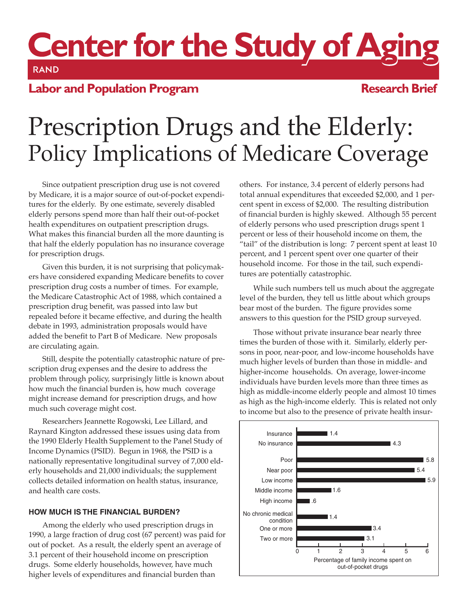# Center for the Study of Aging

## **Labor and Population Program**

### **Research Brief**

# Prescription Drugs and the Elderly: Policy Implications of Medicare Coverage

Since outpatient prescription drug use is not covered by Medicare, it is a major source of out-of-pocket expenditures for the elderly. By one estimate, severely disabled elderly persons spend more than half their out-of-pocket health expenditures on outpatient prescription drugs. What makes this financial burden all the more daunting is that half the elderly population has no insurance coverage for prescription drugs.

Given this burden, it is not surprising that policymakers have considered expanding Medicare benefits to cover prescription drug costs a number of times. For example, the Medicare Catastrophic Act of 1988, which contained a prescription drug benefit, was passed into law but repealed before it became effective, and during the health debate in 1993, administration proposals would have added the benefit to Part B of Medicare. New proposals are circulating again.

Still, despite the potentially catastrophic nature of prescription drug expenses and the desire to address the problem through policy, surprisingly little is known about how much the financial burden is, how much coverage might increase demand for prescription drugs, and how much such coverage might cost.

Researchers Jeannette Rogowski, Lee Lillard, and Raynard Kington addressed these issues using data from the 1990 Elderly Health Supplement to the Panel Study of Income Dynamics (PSID). Begun in 1968, the PSID is a nationally representative longitudinal survey of 7,000 elderly households and 21,000 individuals; the supplement collects detailed information on health status, insurance, and health care costs.

#### **HOW MUCH IS THE FINANCIAL BURDEN?**

Among the elderly who used prescription drugs in 1990, a large fraction of drug cost (67 percent) was paid for out of pocket. As a result, the elderly spent an average of 3.1 percent of their household income on prescription drugs. Some elderly households, however, have much higher levels of expenditures and financial burden than

others. For instance, 3.4 percent of elderly persons had total annual expenditures that exceeded \$2,000, and 1 percent spent in excess of \$2,000. The resulting distribution of financial burden is highly skewed. Although 55 percent of elderly persons who used prescription drugs spent 1 percent or less of their household income on them, the "tail" of the distribution is long: 7 percent spent at least 10 percent, and 1 percent spent over one quarter of their household income. For those in the tail, such expenditures are potentially catastrophic.

While such numbers tell us much about the aggregate level of the burden, they tell us little about which groups bear most of the burden. The figure provides some answers to this question for the PSID group surveyed.

Those without private insurance bear nearly three times the burden of those with it. Similarly, elderly persons in poor, near-poor, and low-income households have much higher levels of burden than those in middle- and higher-income households. On average, lower-income individuals have burden levels more than three times as high as middle-income elderly people and almost 10 times as high as the high-income elderly. This is related not only to income but also to the presence of private health insur-